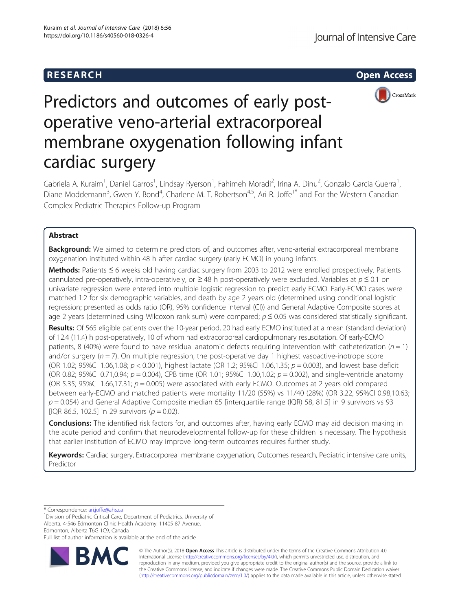## **RESEARCH CHEAR CHEAR CHEAR CHEAR CHEAR CHEAR CHEAR CHEAR CHEAR CHEAR CHEAR CHEAR CHEAR CHEAR CHEAR CHEAR CHEAR**



# Predictors and outcomes of early postoperative veno-arterial extracorporeal membrane oxygenation following infant cardiac surgery

Gabriela A. Kuraim<sup>1</sup>, Daniel Garros<sup>1</sup>, Lindsay Ryerson<sup>1</sup>, Fahimeh Moradi<sup>2</sup>, Irina A. Dinu<sup>2</sup>, Gonzalo Garcia Guerra<sup>1</sup> , Diane Moddemann<sup>3</sup>, Gwen Y. Bond<sup>4</sup>, Charlene M. T. Robertson<sup>4,5</sup>, Ari R. Joffe<sup>1\*</sup> and For the Western Canadian Complex Pediatric Therapies Follow-up Program

## Abstract

**Background:** We aimed to determine predictors of, and outcomes after, veno-arterial extracorporeal membrane oxygenation instituted within 48 h after cardiac surgery (early ECMO) in young infants.

Methods: Patients ≤6 weeks old having cardiac surgery from 2003 to 2012 were enrolled prospectively. Patients cannulated pre-operatively, intra-operatively, or  $\geq$  48 h post-operatively were excluded. Variables at  $p \leq 0.1$  on univariate regression were entered into multiple logistic regression to predict early ECMO. Early-ECMO cases were matched 1:2 for six demographic variables, and death by age 2 years old (determined using conditional logistic regression; presented as odds ratio (OR), 95% confidence interval (CI)) and General Adaptive Composite scores at age 2 years (determined using Wilcoxon rank sum) were compared;  $p \le 0.05$  was considered statistically significant.

Results: Of 565 eligible patients over the 10-year period, 20 had early ECMO instituted at a mean (standard deviation) of 12.4 (11.4) h post-operatively, 10 of whom had extracorporeal cardiopulmonary resuscitation. Of early-ECMO patients, 8 (40%) were found to have residual anatomic defects requiring intervention with catheterization ( $n = 1$ ) and/or surgery  $(n = 7)$ . On multiple regression, the post-operative day 1 highest vasoactive-inotrope score (OR 1.02; 95%CI 1.06,1.08;  $p < 0.001$ ), highest lactate (OR 1.2; 95%CI 1.06,1.35;  $p = 0.003$ ), and lowest base deficit (OR 0.82; 95%CI 0.71,0.94;  $p = 0.004$ ), CPB time (OR 1.01; 95%CI 1.00,1.02;  $p = 0.002$ ), and single-ventricle anatomy (OR 5.35; 95%CI 1.66,17.31;  $p = 0.005$ ) were associated with early ECMO. Outcomes at 2 years old compared between early-ECMO and matched patients were mortality 11/20 (55%) vs 11/40 (28%) (OR 3.22, 95%CI 0.98,10.63;  $p = 0.054$ ) and General Adaptive Composite median 65 [interquartile range (IQR) 58, 81.5] in 9 survivors vs 93 [IQR 86.5, 102.5] in 29 survivors ( $p = 0.02$ ).

**Conclusions:** The identified risk factors for, and outcomes after, having early ECMO may aid decision making in the acute period and confirm that neurodevelopmental follow-up for these children is necessary. The hypothesis that earlier institution of ECMO may improve long-term outcomes requires further study.

Keywords: Cardiac surgery, Extracorporeal membrane oxygenation, Outcomes research, Pediatric intensive care units, Predictor

\* Correspondence: [ari.joffe@ahs.ca](mailto:ari.joffe@ahs.ca) <sup>1</sup>

<sup>1</sup> Division of Pediatric Critical Care, Department of Pediatrics, University of Alberta, 4-546 Edmonton Clinic Health Academy, 11405 87 Avenue, Edmonton, Alberta T6G 1C9, Canada

Full list of author information is available at the end of the article



© The Author(s). 2018 Open Access This article is distributed under the terms of the Creative Commons Attribution 4.0 International License [\(http://creativecommons.org/licenses/by/4.0/](http://creativecommons.org/licenses/by/4.0/)), which permits unrestricted use, distribution, and reproduction in any medium, provided you give appropriate credit to the original author(s) and the source, provide a link to the Creative Commons license, and indicate if changes were made. The Creative Commons Public Domain Dedication waiver [\(http://creativecommons.org/publicdomain/zero/1.0/](http://creativecommons.org/publicdomain/zero/1.0/)) applies to the data made available in this article, unless otherwise stated.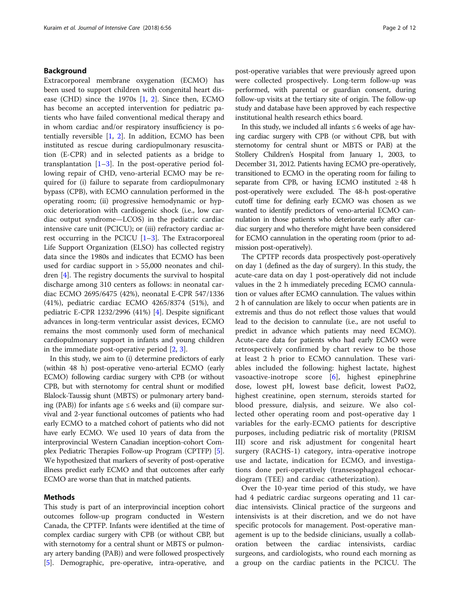## Background

Extracorporeal membrane oxygenation (ECMO) has been used to support children with congenital heart disease (CHD) since the 1970s [\[1,](#page-11-0) [2\]](#page-11-0). Since then, ECMO has become an accepted intervention for pediatric patients who have failed conventional medical therapy and in whom cardiac and/or respiratory insufficiency is potentially reversible [\[1](#page-11-0), [2\]](#page-11-0). In addition, ECMO has been instituted as rescue during cardiopulmonary resuscitation (E-CPR) and in selected patients as a bridge to transplantation  $[1-3]$  $[1-3]$  $[1-3]$  $[1-3]$ . In the post-operative period following repair of CHD, veno-arterial ECMO may be required for (i) failure to separate from cardiopulmonary bypass (CPB), with ECMO cannulation performed in the operating room; (ii) progressive hemodynamic or hypoxic deterioration with cardiogenic shock (i.e., low cardiac output syndrome—LCOS) in the pediatric cardiac intensive care unit (PCICU); or (iii) refractory cardiac arrest occurring in the PCICU  $[1-3]$  $[1-3]$  $[1-3]$ . The Extracorporeal Life Support Organization (ELSO) has collected registry data since the 1980s and indicates that ECMO has been used for cardiac support in > 55,000 neonates and children [[4\]](#page-11-0). The registry documents the survival to hospital discharge among 310 centers as follows: in neonatal cardiac ECMO 2695/6475 (42%), neonatal E-CPR 547/1336 (41%), pediatric cardiac ECMO 4265/8374 (51%), and pediatric E-CPR 1232/2996 (41%) [\[4](#page-11-0)]. Despite significant advances in long-term ventricular assist devices, ECMO remains the most commonly used form of mechanical cardiopulmonary support in infants and young children in the immediate post-operative period [[2,](#page-11-0) [3\]](#page-11-0).

In this study, we aim to (i) determine predictors of early (within 48 h) post-operative veno-arterial ECMO (early ECMO) following cardiac surgery with CPB (or without CPB, but with sternotomy for central shunt or modified Blalock-Taussig shunt (MBTS) or pulmonary artery banding (PAB)) for infants age  $\leq 6$  weeks and (ii) compare survival and 2-year functional outcomes of patients who had early ECMO to a matched cohort of patients who did not have early ECMO. We used 10 years of data from the interprovincial Western Canadian inception-cohort Complex Pediatric Therapies Follow-up Program (CPTFP) [[5](#page-11-0)]. We hypothesized that markers of severity of post-operative illness predict early ECMO and that outcomes after early ECMO are worse than that in matched patients.

## Methods

This study is part of an interprovincial inception cohort outcomes follow-up program conducted in Western Canada, the CPTFP. Infants were identified at the time of complex cardiac surgery with CPB (or without CBP, but with sternotomy for a central shunt or MBTS or pulmonary artery banding (PAB)) and were followed prospectively [[5\]](#page-11-0). Demographic, pre-operative, intra-operative, and

post-operative variables that were previously agreed upon were collected prospectively. Long-term follow-up was performed, with parental or guardian consent, during follow-up visits at the tertiary site of origin. The follow-up study and database have been approved by each respective institutional health research ethics board.

In this study, we included all infants  $\leq 6$  weeks of age having cardiac surgery with CPB (or without CPB, but with sternotomy for central shunt or MBTS or PAB) at the Stollery Children's Hospital from January 1, 2003, to December 31, 2012. Patients having ECMO pre-operatively, transitioned to ECMO in the operating room for failing to separate from CPB, or having ECMO instituted  $\geq 48$  h post-operatively were excluded. The 48-h post-operative cutoff time for defining early ECMO was chosen as we wanted to identify predictors of veno-arterial ECMO cannulation in those patients who deteriorate early after cardiac surgery and who therefore might have been considered for ECMO cannulation in the operating room (prior to admission post-operatively).

The CPTFP records data prospectively post-operatively on day 1 (defined as the day of surgery). In this study, the acute-care data on day 1 post-operatively did not include values in the 2 h immediately preceding ECMO cannulation or values after ECMO cannulation. The values within 2 h of cannulation are likely to occur when patients are in extremis and thus do not reflect those values that would lead to the decision to cannulate (i.e., are not useful to predict in advance which patients may need ECMO). Acute-care data for patients who had early ECMO were retrospectively confirmed by chart review to be those at least 2 h prior to ECMO cannulation. These variables included the following: highest lactate, highest vasoactive-inotrope score [[6\]](#page-11-0), highest epinephrine dose, lowest pH, lowest base deficit, lowest PaO2, highest creatinine, open sternum, steroids started for blood pressure, dialysis, and seizure. We also collected other operating room and post-operative day 1 variables for the early-ECMO patients for descriptive purposes, including pediatric risk of mortality (PRISM III) score and risk adjustment for congenital heart surgery (RACHS-1) category, intra-operative inotrope use and lactate, indication for ECMO, and investigations done peri-operatively (transesophageal echocardiogram (TEE) and cardiac catheterization).

Over the 10-year time period of this study, we have had 4 pediatric cardiac surgeons operating and 11 cardiac intensivists. Clinical practice of the surgeons and intensivists is at their discretion, and we do not have specific protocols for management. Post-operative management is up to the bedside clinicians, usually a collaboration between the cardiac intensivists, cardiac surgeons, and cardiologists, who round each morning as a group on the cardiac patients in the PCICU. The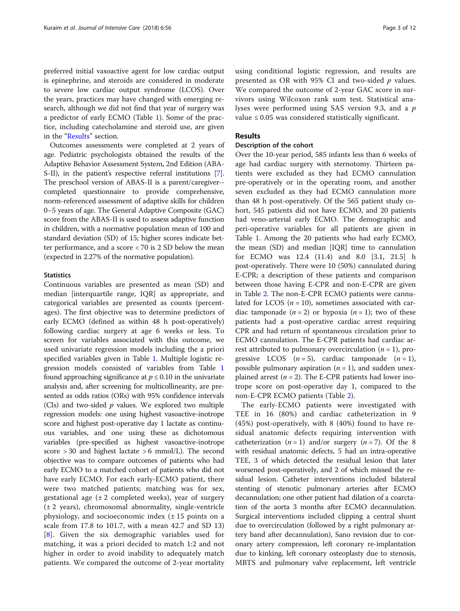preferred initial vasoactive agent for low cardiac output is epinephrine, and steroids are considered in moderate to severe low cardiac output syndrome (LCOS). Over the years, practices may have changed with emerging research, although we did not find that year of surgery was a predictor of early ECMO (Table [1](#page-3-0)). Some of the practice, including catecholamine and steroid use, are given in the "Results" section.

Outcomes assessments were completed at 2 years of age. Pediatric psychologists obtained the results of the Adaptive Behavior Assessment System, 2nd Edition (ABA-S-II), in the patient's respective referral institutions [[7](#page-11-0)]. The preschool version of ABAS-II is a parent/caregiver- completed questionnaire to provide comprehensive, norm-referenced assessment of adaptive skills for children 0–5 years of age. The General Adaptive Composite (GAC) score from the ABAS-II is used to assess adaptive function in children, with a normative population mean of 100 and standard deviation (SD) of 15; higher scores indicate better performance, and a score < 70 is 2 SD below the mean (expected in 2.27% of the normative population).

## **Statistics**

Continuous variables are presented as mean (SD) and median [interquartile range, IQR] as appropriate, and categorical variables are presented as counts (percentages). The first objective was to determine predictors of early ECMO (defined as within 48 h post-operatively) following cardiac surgery at age 6 weeks or less. To screen for variables associated with this outcome, we used univariate regression models including the a priori specified variables given in Table [1](#page-3-0). Multiple logistic regression models consisted of variables from Table [1](#page-3-0) found approaching significance at  $p \leq 0.10$  in the univariate analysis and, after screening for multicollinearity, are presented as odds ratios (ORs) with 95% confidence intervals (CIs) and two-sided  $p$  values. We explored two multiple regression models: one using highest vasoactive-inotrope score and highest post-operative day 1 lactate as continuous variables, and one using these as dichotomous variables (pre-specified as highest vasoactive-inotrope score  $>$  30 and highest lactate  $>$  6 mmol/L). The second objective was to compare outcomes of patients who had early ECMO to a matched cohort of patients who did not have early ECMO. For each early-ECMO patient, there were two matched patients; matching was for sex, gestational age  $(\pm 2$  completed weeks), year of surgery (± 2 years), chromosomal abnormality, single-ventricle physiology, and socioeconomic index  $(\pm 15$  points on a scale from 17.8 to 101.7, with a mean 42.7 and SD 13) [[8\]](#page-11-0). Given the six demographic variables used for matching, it was a priori decided to match 1:2 and not higher in order to avoid inability to adequately match patients. We compared the outcome of 2-year mortality

using conditional logistic regression, and results are presented as OR with 95% CI and two-sided  $p$  values. We compared the outcome of 2-year GAC score in survivors using Wilcoxon rank sum test. Statistical analyses were performed using SAS version 9.3, and a p value  $\leq 0.05$  was considered statistically significant.

## Results

## Description of the cohort

Over the 10-year period, 585 infants less than 6 weeks of age had cardiac surgery with sternotomy. Thirteen patients were excluded as they had ECMO cannulation pre-operatively or in the operating room, and another seven excluded as they had ECMO cannulation more than 48 h post-operatively. Of the 565 patient study cohort, 545 patients did not have ECMO, and 20 patients had veno-arterial early ECMO. The demographic and peri-operative variables for all patients are given in Table [1.](#page-3-0) Among the 20 patients who had early ECMO, the mean (SD) and median [IQR] time to cannulation for ECMO was 12.4 (11.4) and 8.0 [3.1, 21.5] h post-operatively. There were 10 (50%) cannulated during E-CPR; a description of these patients and comparison between those having E-CPR and non-E-CPR are given in Table [2.](#page-5-0) The non-E-CPR ECMO patients were cannulated for LCOS ( $n = 10$ ), sometimes associated with cardiac tamponade  $(n = 2)$  or hypoxia  $(n = 1)$ ; two of these patients had a post-operative cardiac arrest requiring CPR and had return of spontaneous circulation prior to ECMO cannulation. The E-CPR patients had cardiac arrest attributed to pulmonary overcirculation  $(n = 1)$ , progressive LCOS  $(n=5)$ , cardiac tamponade  $(n=1)$ , possible pulmonary aspiration  $(n = 1)$ , and sudden unexplained arrest  $(n = 2)$ . The E-CPR patients had lower inotrope score on post-operative day 1, compared to the non-E-CPR ECMO patients (Table [2\)](#page-5-0).

The early-ECMO patients were investigated with TEE in 16 (80%) and cardiac catheterization in 9 (45%) post-operatively, with 8 (40%) found to have residual anatomic defects requiring intervention with catheterization  $(n = 1)$  and/or surgery  $(n = 7)$ . Of the 8 with residual anatomic defects, 5 had an intra-operative TEE, 3 of which detected the residual lesion that later worsened post-operatively, and 2 of which missed the residual lesion. Catheter interventions included bilateral stenting of stenotic pulmonary arteries after ECMO decannulation; one other patient had dilation of a coarctation of the aorta 3 months after ECMO decannulation. Surgical interventions included clipping a central shunt due to overcirculation (followed by a right pulmonary artery band after decannulation), Sano revision due to coronary artery compression, left coronary re-implantation due to kinking, left coronary osteoplasty due to stenosis, MBTS and pulmonary valve replacement, left ventricle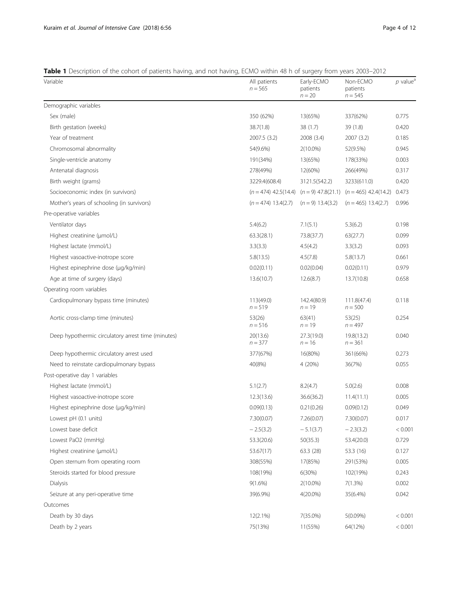## <span id="page-3-0"></span>Table 1 Description of the cohort of patients having, and not having, ECMO within 48 h of surgery from years 2003-2012

| Variable                                           | All patients<br>$n = 565$                   | Early-ECMO<br>patients<br>$n = 20$ | Non-ECMO<br>patients<br>$n = 545$ | $p$ value <sup>a</sup> |
|----------------------------------------------------|---------------------------------------------|------------------------------------|-----------------------------------|------------------------|
| Demographic variables                              |                                             |                                    |                                   |                        |
| Sex (male)                                         | 350 (62%)                                   | 13(65%)                            | 337(62%)                          | 0.775                  |
| Birth gestation (weeks)                            | 38.7(1.8)                                   | 38(1.7)                            | 39 (1.8)                          | 0.420                  |
| Year of treatment                                  | 2007.5 (3.2)                                | 2008 (3.4)                         | 2007 (3.2)                        | 0.185                  |
| Chromosomal abnormality                            | 54(9.6%)                                    | $2(10.0\%)$                        | 52(9.5%)                          | 0.945                  |
| Single-ventricle anatomy                           | 191(34%)                                    | 13(65%)                            | 178(33%)                          | 0.003                  |
| Antenatal diagnosis                                | 278(49%)                                    | 12(60%)                            | 266(49%)                          | 0.317                  |
| Birth weight (grams)                               | 3229.4(608.4)                               | 3121.5(542.2)                      | 3233(611.0)                       | 0.420                  |
| Socioeconomic index (in survivors)                 | $(n = 474)$ 42.5(14.4) $(n = 9)$ 47.8(21.1) |                                    | $(n = 465)$ 42.4(14.2)            | 0.473                  |
| Mother's years of schooling (in survivors)         | $(n = 474)$ 13.4(2.7)                       | $(n = 9)$ 13.4(3.2)                | $(n = 465)$ 13.4(2.7)             | 0.996                  |
| Pre-operative variables                            |                                             |                                    |                                   |                        |
| Ventilator days                                    | 5.4(6.2)                                    | 7.1(5.1)                           | 5.3(6.2)                          | 0.198                  |
| Highest creatinine (µmol/L)                        | 63.3(28.1)                                  | 73.8(37.7)                         | 63(27.7)                          | 0.099                  |
| Highest lactate (mmol/L)                           | 3.3(3.3)                                    | 4.5(4.2)                           | 3.3(3.2)                          | 0.093                  |
| Highest vasoactive-inotrope score                  | 5.8(13.5)                                   | 4.5(7.8)                           | 5.8(13.7)                         | 0.661                  |
| Highest epinephrine dose (µg/kg/min)               | 0.02(0.11)                                  | 0.02(0.04)                         | 0.02(0.11)                        | 0.979                  |
| Age at time of surgery (days)                      | 13.6(10.7)                                  | 12.6(8.7)                          | 13.7(10.8)                        | 0.658                  |
| Operating room variables                           |                                             |                                    |                                   |                        |
| Cardiopulmonary bypass time (minutes)              | 113(49.0)<br>$n = 519$                      | 142.4(80.9)<br>$n = 19$            | 111.8(47.4)<br>$n = 500$          | 0.118                  |
| Aortic cross-clamp time (minutes)                  | 53(26)<br>$n = 516$                         | 63(41)<br>$n = 19$                 | 53(25)<br>$n = 497$               | 0.254                  |
| Deep hypothermic circulatory arrest time (minutes) | 20(13.6)<br>$n = 377$                       | 27.3(19.0)<br>$n = 16$             | 19.8(13.2)<br>$n = 361$           | 0.040                  |
| Deep hypothermic circulatory arrest used           | 377(67%)                                    | 16(80%)                            | 361(66%)                          | 0.273                  |
| Need to reinstate cardiopulmonary bypass           | 40(8%)                                      | 4 (20%)                            | 36(7%)                            | 0.055                  |
| Post-operative day 1 variables                     |                                             |                                    |                                   |                        |
| Highest lactate (mmol/L)                           | 5.1(2.7)                                    | 8.2(4.7)                           | 5.0(2.6)                          | 0.008                  |
| Highest vasoactive-inotrope score                  | 12.3(13.6)                                  | 36.6(36.2)                         | 11.4(11.1)                        | 0.005                  |
| Highest epinephrine dose (µg/kg/min)               | 0.09(0.13)                                  | 0.21(0.26)                         | 0.09(0.12)                        | 0.049                  |
| Lowest pH (0.1 units)                              | 7.30(0.07)                                  | 7.26(0.07)                         | 7.30(0.07)                        | 0.017                  |
| Lowest base deficit                                | $-2.5(3.2)$                                 | $-5.1(3.7)$                        | $-2.3(3.2)$                       | < 0.001                |
| Lowest PaO2 (mmHg)                                 | 53.3(20.6)                                  | 50(35.3)                           | 53.4(20.0)                        | 0.729                  |
| Highest creatinine (µmol/L)                        | 53.67(17)                                   | 63.3 (28)                          | 53.3 (16)                         | 0.127                  |
| Open sternum from operating room                   | 308(55%)                                    | 17(85%)                            | 291(53%)                          | 0.005                  |
| Steroids started for blood pressure                | 108(19%)                                    | 6(30%)                             | 102(19%)                          | 0.243                  |
| Dialysis                                           | $9(1.6\%)$                                  | 2(10.0%)                           | 7(1.3%)                           | 0.002                  |
| Seizure at any peri-operative time                 | 39(6.9%)                                    | $4(20.0\%)$                        | 35(6.4%)                          | 0.042                  |
| Outcomes                                           |                                             |                                    |                                   |                        |
| Death by 30 days                                   | 12(2.1%)                                    | 7(35.0%)                           | $5(0.09\%)$                       | < 0.001                |
| Death by 2 years                                   | 75(13%)                                     | 11(55%)                            | 64(12%)                           | < 0.001                |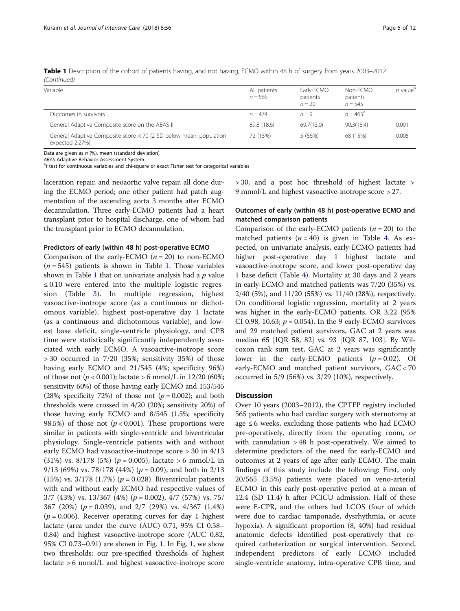| Table 1 Description of the cohort of patients having, and not having, ECMO within 48 h of surgery from years 2003-2012 |  |  |
|------------------------------------------------------------------------------------------------------------------------|--|--|
| (Continued)                                                                                                            |  |  |

| Variable                                                                              | All patients<br>$n = 565$ | Early-ECMO<br>patients<br>$n = 20$ | Non-FCMO<br>patients<br>$n = 545$ | $p$ value <sup>a</sup> |
|---------------------------------------------------------------------------------------|---------------------------|------------------------------------|-----------------------------------|------------------------|
| Outcomes in survivors                                                                 | $n = 474$                 | $n = 9$                            | $n = 465^a$                       |                        |
| General Adaptive Composite score on the ABAS-II                                       | 89.8 (18.6)               | 69.7(13.0)                         | 90.3(18.4)                        | 0.001                  |
| General Adaptive Composite score < 70 (2 SD below mean; population<br>expected 2.27%) | 72 (15%)                  | 5(56%)                             | 68 (15%)                          | 0.005                  |

Data are given as  $n$  (%), mean (standard deviation)

ABAS Adaptive Behavior Assessment System

 $a$ t test for continuous variables and chi-square or exact Fisher test for categorical variables

laceration repair, and neoaortic valve repair, all done during the ECMO period; one other patient had patch augmentation of the ascending aorta 3 months after ECMO decannulation. Three early-ECMO patients had a heart transplant prior to hospital discharge, one of whom had the transplant prior to ECMO decannulation.

#### Predictors of early (within 48 h) post-operative ECMO

Comparison of the early-ECMO  $(n = 20)$  to non-ECMO  $(n = 545)$  patients is shown in Table [1](#page-3-0). Those variables shown in Table [1](#page-3-0) that on univariate analysis had a  $p$  value  $\leq 0.10$  were entered into the multiple logistic regression (Table [3\)](#page-7-0). In multiple regression, highest vasoactive-inotrope score (as a continuous or dichotomous variable), highest post-operative day 1 lactate (as a continuous and dichotomous variable), and lowest base deficit, single-ventricle physiology, and CPB time were statistically significantly independently associated with early ECMO. A vasoactive-inotrope score > 30 occurred in 7/20 (35%; sensitivity 35%) of those having early ECMO and 21/545 (4%; specificity 96%) of those not ( $p < 0.001$ ); lactate > 6 mmol/L in 12/20 (60%; sensitivity 60%) of those having early ECMO and 153/545 (28%; specificity 72%) of those not  $(p = 0.002)$ ; and both thresholds were crossed in 4/20 (20%; sensitivity 20%) of those having early ECMO and 8/545 (1.5%; specificity 98.5%) of those not ( $p < 0.001$ ). These proportions were similar in patients with single-ventricle and biventricular physiology. Single-ventricle patients with and without early ECMO had vasoactive-inotrope score > 30 in 4/13 (31%) vs. 8/178 (5%) ( $p = 0.005$ ), lactate > 6 mmol/L in 9/13 (69%) vs. 78/178 (44%) ( $p = 0.09$ ), and both in 2/13 (15%) vs. 3/178 (1.7%) ( $p = 0.028$ ). Biventricular patients with and without early ECMO had respective values of  $3/7$  (43%) vs.  $13/367$  (4%) ( $p = 0.002$ ), 4/7 (57%) vs. 75/ 367 (20%) ( $p = 0.039$ ), and 2/7 (29%) vs. 4/367 (1.4%)  $(p = 0.006)$ . Receiver operating curves for day 1 highest lactate (area under the curve (AUC) 0.71, 95% CI 0.58– 0.84) and highest vasoactive-inotrope score (AUC 0.82, 95% CI 0.73–0.91) are shown in Fig. [1.](#page-8-0) In Fig. [1](#page-8-0), we show two thresholds: our pre-specified thresholds of highest lactate > 6 mmol/L and highest vasoactive-inotrope score

> 30, and a post hoc threshold of highest lactate > 9 mmol/L and highest vasoactive-inotrope score > 27.

## Outcomes of early (within 48 h) post-operative ECMO and matched comparison patients

Comparison of the early-ECMO patients  $(n = 20)$  to the matched patients  $(n = 40)$  $(n = 40)$  $(n = 40)$  is given in Table 4. As expected, on univariate analysis, early-ECMO patients had higher post-operative day 1 highest lactate and vasoactive-inotrope score, and lower post-operative day 1 base deficit (Table [4](#page-9-0)). Mortality at 30 days and 2 years in early-ECMO and matched patients was 7/20 (35%) vs. 2/40 (5%), and 11/20 (55%) vs. 11/40 (28%), respectively. On conditional logistic regression, mortality at 2 years was higher in the early-ECMO patients, OR 3.22 (95% CI 0.98, 10.63;  $p = 0.054$ ). In the 9 early-ECMO survivors and 29 matched patient survivors, GAC at 2 years was median 65 [IQR 58, 82] vs. 93 [IQR 87, 103]. By Wilcoxon rank sum test, GAC at 2 years was significantly lower in the early-ECMO patients  $(p = 0.02)$ . Of early-ECMO and matched patient survivors, GAC < 70 occurred in 5/9 (56%) vs. 3/29 (10%), respectively.

## **Discussion**

Over 10 years (2003–2012), the CPTFP registry included 565 patients who had cardiac surgery with sternotomy at age  $\leq 6$  weeks, excluding those patients who had ECMO pre-operatively, directly from the operating room, or with cannulation > 48 h post-operatively. We aimed to determine predictors of the need for early-ECMO and outcomes at 2 years of age after early ECMO. The main findings of this study include the following: First, only 20/565 (3.5%) patients were placed on veno-arterial ECMO in this early post-operative period at a mean of 12.4 (SD 11.4) h after PCICU admission. Half of these were E-CPR, and the others had LCOS (four of which were due to cardiac tamponade, dysrhythmia, or acute hypoxia). A significant proportion (8, 40%) had residual anatomic defects identified post-operatively that required catheterization or surgical intervention. Second, independent predictors of early ECMO included single-ventricle anatomy, intra-operative CPB time, and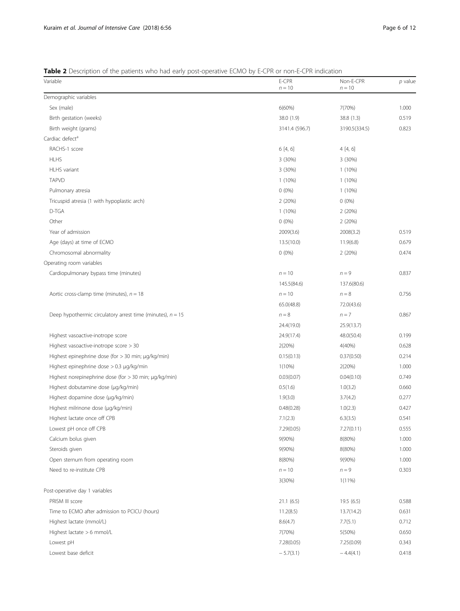## <span id="page-5-0"></span>Table 2 Description of the patients who had early post-operative ECMO by E-CPR or non-E-CPR indication

| Variable                                                     | E-CPR<br>$n = 10$ | Non-E-CPR<br>$n = 10$ | $p$ value |
|--------------------------------------------------------------|-------------------|-----------------------|-----------|
| Demographic variables                                        |                   |                       |           |
| Sex (male)                                                   | 6(60%)            | 7(70%)                | 1.000     |
| Birth gestation (weeks)                                      | 38.0 (1.9)        | 38.8 (1.3)            | 0.519     |
| Birth weight (grams)                                         | 3141.4 (596.7)    | 3190.5(334.5)         | 0.823     |
| Cardiac defect <sup>a</sup>                                  |                   |                       |           |
| RACHS-1 score                                                | 6 [4, 6]          | 4 [4, 6]              |           |
| <b>HLHS</b>                                                  | 3 (30%)           | 3(30%)                |           |
| HLHS variant                                                 | 3 (30%)           | $1(10\%)$             |           |
| <b>TAPVD</b>                                                 | $1(10\%)$         | $1(10\%)$             |           |
| Pulmonary atresia                                            | $0(0\%)$          | $1(10\%)$             |           |
| Tricuspid atresia (1 with hypoplastic arch)                  | 2(20%)            | $0(0\%)$              |           |
| D-TGA                                                        | $1(10\%)$         | 2 (20%)               |           |
| Other                                                        | $0(0\%)$          | 2 (20%)               |           |
| Year of admission                                            | 2009(3.6)         | 2008(3.2)             | 0.519     |
| Age (days) at time of ECMO                                   | 13.5(10.0)        | 11.9(6.8)             | 0.679     |
| Chromosomal abnormality                                      | $0(0\%)$          | 2 (20%)               | 0.474     |
| Operating room variables                                     |                   |                       |           |
| Cardiopulmonary bypass time (minutes)                        | $n = 10$          | $n = 9$               | 0.837     |
|                                                              | 145.5(84.6)       | 137.6(80.6)           |           |
| Aortic cross-clamp time (minutes), $n = 18$                  | $n = 10$          | $n = 8$               | 0.756     |
|                                                              | 65.0(48.8)        | 72.0(43.6)            |           |
| Deep hypothermic circulatory arrest time (minutes), $n = 15$ | $n = 8$           | $n=7$                 | 0.867     |
|                                                              | 24.4(19.0)        | 25.9(13.7)            |           |
| Highest vasoactive-inotrope score                            | 24.9(17.4)        | 48.0(50.4)            | 0.199     |
| Highest vasoactive-inotrope score $>$ 30                     | 2(20%)            | 4(40%)                | 0.628     |
| Highest epinephrine dose (for > 30 min; µg/kg/min)           | 0.15(0.13)        | 0.37(0.50)            | 0.214     |
| Highest epinephrine dose $> 0.3$ µg/kg/min                   | 1(10%)            | 2(20%)                | 1.000     |
| Highest norepinephrine dose (for > 30 min; µg/kg/min)        | 0.03(0.07)        | 0.04(0.10)            | 0.749     |
| Highest dobutamine dose (µg/kg/min)                          | 0.5(1.6)          | 1.0(3.2)              | 0.660     |
| Highest dopamine dose (µg/kg/min)                            | 1.9(3.0)          | 3.7(4.2)              | 0.277     |
| Highest milrinone dose (µg/kg/min)                           | 0.48(0.28)        | 1.0(2.3)              | 0.427     |
| Highest lactate once off CPB                                 | 7.1(2.3)          | 6.3(3.5)              | 0.541     |
| Lowest pH once off CPB                                       | 7.29(0.05)        | 7.27(0.11)            | 0.555     |
| Calcium bolus given                                          | 9(90%)            | 8(80%)                | 1.000     |
| Steroids given                                               | 9(90%)            | 8(80%)                | 1.000     |
| Open sternum from operating room                             | 8(80%)            | 9(90%)                | 1.000     |
| Need to re-institute CPB                                     | $n = 10$          | $n = 9$               | 0.303     |
|                                                              | 3(30%)            | $1(11\%)$             |           |
| Post-operative day 1 variables                               |                   |                       |           |
| PRISM III score                                              | 21.1(6.5)         | 19.5(6.5)             | 0.588     |
| Time to ECMO after admission to PCICU (hours)                | 11.2(8.5)         | 13.7(14.2)            | 0.631     |
| Highest lactate (mmol/L)                                     | 8.6(4.7)          | 7.7(5.1)              | 0.712     |
| Highest lactate > 6 mmol/L                                   | 7(70%)            | 5(50%)                | 0.650     |
| Lowest pH                                                    | 7.28(0.05)        | 7.25(0.09)            | 0.343     |
| Lowest base deficit                                          | $-5.7(3.1)$       | $-4.4(4.1)$           | 0.418     |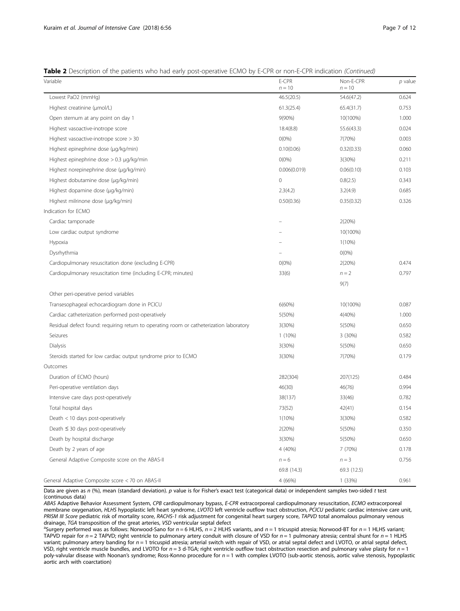## Table 2 Description of the patients who had early post-operative ECMO by E-CPR or non-E-CPR indication (Continued)

| Variable                                                                                | E-CPR<br>$n = 10$ | Non-E-CPR<br>$n = 10$ | $p$ value |
|-----------------------------------------------------------------------------------------|-------------------|-----------------------|-----------|
| Lowest PaO2 (mmHg)                                                                      | 46.5(20.5)        | 54.6(47.2)            | 0.624     |
| Highest creatinine (µmol/L)                                                             | 61.3(25.4)        | 65.4(31.7)            | 0.753     |
| Open sternum at any point on day 1                                                      | 9(90%)            | 10(100%)              | 1.000     |
| Highest vasoactive-inotrope score                                                       | 18.4(8.8)         | 55.6(43.3)            | 0.024     |
| Highest vasoactive-inotrope score > 30                                                  | $O(0\%)$          | 7(70%)                | 0.003     |
| Highest epinephrine dose (µg/kg/min)                                                    | 0.10(0.06)        | 0.32(0.33)            | 0.060     |
| Highest epinephrine dose $> 0.3$ µg/kg/min                                              | $O(0\%)$          | 3(30%)                | 0.211     |
| Highest norepinephrine dose (µg/kg/min)                                                 | 0.006(0.019)      | 0.06(0.10)            | 0.103     |
| Highest dobutamine dose (µg/kg/min)                                                     | $\mathbf 0$       | 0.8(2.5)              | 0.343     |
| Highest dopamine dose (µg/kg/min)                                                       | 2.3(4.2)          | 3.2(4.9)              | 0.685     |
| Highest milrinone dose (µg/kg/min)                                                      | 0.50(0.36)        | 0.35(0.32)            | 0.326     |
| Indication for ECMO                                                                     |                   |                       |           |
| Cardiac tamponade                                                                       |                   | 2(20%)                |           |
| Low cardiac output syndrome                                                             |                   | 10(100%)              |           |
| Hypoxia                                                                                 |                   | $1(10\%)$             |           |
| Dysrhythmia                                                                             |                   | $O(0\%)$              |           |
| Cardiopulmonary resuscitation done (excluding E-CPR)                                    | $O(0\%)$          | 2(20%)                | 0.474     |
| Cardiopulmonary resuscitation time (including E-CPR; minutes)                           | 33(6)             | $n = 2$               | 0.797     |
|                                                                                         |                   | 9(7)                  |           |
| Other peri-operative period variables                                                   |                   |                       |           |
| Transesophageal echocardiogram done in PCICU                                            | 6(60%)            | 10(100%)              | 0.087     |
| Cardiac catheterization performed post-operatively                                      | 5(50%)            | 4(40%)                | 1.000     |
| Residual defect found: requiring return to operating room or catheterization laboratory | 3(30%)            | 5(50%)                | 0.650     |
| Seizures                                                                                | $1(10\%)$         | 3 (30%)               | 0.582     |
| Dialysis                                                                                | 3(30%)            | 5(50%)                | 0.650     |
| Steroids started for low cardiac output syndrome prior to ECMO                          | 3(30%)            | 7(70%)                | 0.179     |
| Outcomes                                                                                |                   |                       |           |
| Duration of ECMO (hours)                                                                | 282(304)          | 207(125)              | 0.484     |
| Peri-operative ventilation days                                                         | 46(30)            | 46(76)                | 0.994     |
| Intensive care days post-operatively                                                    | 38(137)           | 33(46)                | 0.782     |
| Total hospital days                                                                     | 73(52)            | 42(41)                | 0.154     |
| Death < 10 days post-operatively                                                        | 1(10%)            | 3(30%)                | 0.582     |
| Death $\leq$ 30 days post-operatively                                                   | 2(20%)            | 5(50%)                | 0.350     |
| Death by hospital discharge                                                             | 3(30%)            | 5(50%)                | 0.650     |
| Death by 2 years of age                                                                 | 4 (40%)           | 7 (70%)               | 0.178     |
| General Adaptive Composite score on the ABAS-II                                         | $n = 6$           | $n = 3$               | 0.756     |
|                                                                                         | 69.8 (14.3)       | 69.3 (12.5)           |           |
| General Adaptive Composite score < 70 on ABAS-II                                        | 4 (66%)           | 1 (33%)               | 0.961     |

Data are given as n (%), mean (standard deviation). p value is for Fisher's exact test (categorical data) or independent samples two-sided t test (continuous data)

ABAS Adaptive Behavior Assessment System, CPB cardiopulmonary bypass, E-CPR extracorporeal cardiopulmonary resuscitation, ECMO extracorporeal membrane oxygenation, HLHS hypoplastic left heart syndrome, LVOTO left ventricle outflow tract obstruction, PCICU pediatric cardiac intensive care unit, PRISM III Score pediatric risk of mortality score, RACHS-1 risk adjustment for congenital heart surgery score, TAPVD total anomalous pulmonary venous drainage, TGA transposition of the great arteries, VSD ventricular septal defect

<sup>a</sup>Surgery performed was as follows: Norwood-Sano for  $n = 6$  HLHS,  $n = 2$  HLHS variants, and  $n = 1$  tricuspid atresia; Norwood-BT for  $n = 1$  HLHS variant; TAPVD repair for  $n = 2$  TAPVD; right ventricle to pulmonary artery conduit with closure of VSD for  $n = 1$  pulmonary atresia; central shunt for  $n = 1$  HLHS variant; pulmonary artery banding for n = 1 tricuspid atresia; arterial switch with repair of VSD, or atrial septal defect and LVOTO, or atrial septal defect, VSD, right ventricle muscle bundles, and LVOTO for  $n = 3$  d-TGA; right ventricle outflow tract obstruction resection and pulmonary valve plasty for  $n = 1$ poly-valvular disease with Noonan's syndrome; Ross-Konno procedure for  $n = 1$  with complex LVOTO (sub-aortic stenosis, aortic valve stenosis, hypoplastic aortic arch with coarctation)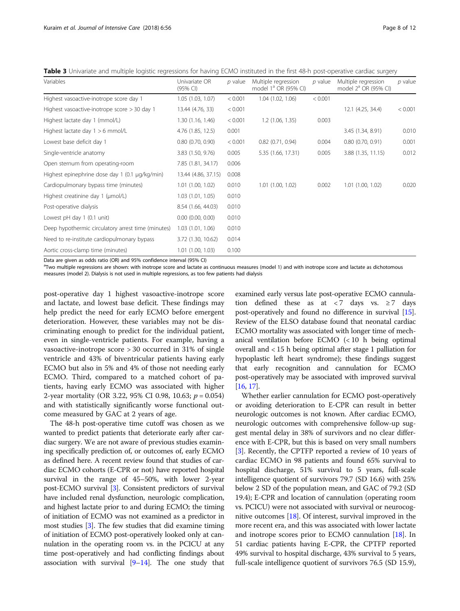<span id="page-7-0"></span>Table 3 Univariate and multiple logistic regressions for having FCMO instituted in the first 48-h post-operative cardiac surgery

| Variables                                          | Univariate OR<br>(95% CI) | $p$ value | Multiple regression<br>model 1 <sup>ª</sup> OR (95% CI) | $p$ value | Multiple regression<br>model 2 <sup>ª</sup> OR (95% CI) | $p$ value |
|----------------------------------------------------|---------------------------|-----------|---------------------------------------------------------|-----------|---------------------------------------------------------|-----------|
| Highest vasoactive-inotrope score day 1            | 1.05(1.03, 1.07)          | < 0.001   | 1.04(1.02, 1.06)                                        | < 0.001   |                                                         |           |
| Highest vasoactive-inotrope score $>$ 30 day 1     | 13.44 (4.76, 33)          | < 0.001   |                                                         |           | 12.1 (4.25, 34.4)                                       | < 0.001   |
| Highest lactate day 1 (mmol/L)                     | 1.30(1.16, 1.46)          | < 0.001   | 1.2(1.06, 1.35)                                         | 0.003     |                                                         |           |
| Highest lactate day $1 > 6$ mmol/L                 | 4.76 (1.85, 12.5)         | 0.001     |                                                         |           | 3.45 (1.34, 8.91)                                       | 0.010     |
| Lowest base deficit day 1                          | $0.80$ $(0.70, 0.90)$     | < 0.001   | $0.82$ $(0.71, 0.94)$                                   | 0.004     | $0.80$ $(0.70, 0.91)$                                   | 0.001     |
| Single-ventricle anatomy                           | 3.83 (1.50, 9.76)         | 0.005     | 5.35 (1.66, 17.31)                                      | 0.005     | 3.88 (1.35, 11.15)                                      | 0.012     |
| Open sternum from operating-room                   | 7.85 (1.81, 34.17)        | 0.006     |                                                         |           |                                                         |           |
| Highest epinephrine dose day 1 (0.1 µg/kg/min)     | 13.44 (4.86, 37.15)       | 0.008     |                                                         |           |                                                         |           |
| Cardiopulmonary bypass time (minutes)              | 1.01(1.00, 1.02)          | 0.010     | $1.01$ $(1.00, 1.02)$                                   | 0.002     | 1.01(1.00, 1.02)                                        | 0.020     |
| Highest creatinine day 1 (µmol/L)                  | 1.03(1.01, 1.05)          | 0.010     |                                                         |           |                                                         |           |
| Post-operative dialysis                            | 8.54 (1.66, 44.03)        | 0.010     |                                                         |           |                                                         |           |
| Lowest $pH$ day 1 (0.1 unit)                       | $0.00$ $(0.00, 0.00)$     | 0.010     |                                                         |           |                                                         |           |
| Deep hypothermic circulatory arrest time (minutes) | 1.03(1.01, 1.06)          | 0.010     |                                                         |           |                                                         |           |
| Need to re-institute cardiopulmonary bypass        | 3.72 (1.30, 10.62)        | 0.014     |                                                         |           |                                                         |           |
| Aortic cross-clamp time (minutes)                  | 1.01(1.00, 1.03)          | 0.100     |                                                         |           |                                                         |           |

Data are given as odds ratio (OR) and 95% confidence interval (95% CI)

<sup>a</sup>Two multiple regressions are shown: with inotrope score and lactate as continuous measures (model 1) and with inotrope score and lactate as dichotomous measures (model 2). Dialysis is not used in multiple regressions, as too few patients had dialysis

post-operative day 1 highest vasoactive-inotrope score and lactate, and lowest base deficit. These findings may help predict the need for early ECMO before emergent deterioration. However, these variables may not be discriminating enough to predict for the individual patient, even in single-ventricle patients. For example, having a vasoactive-inotrope score > 30 occurred in 31% of single ventricle and 43% of biventricular patients having early ECMO but also in 5% and 4% of those not needing early ECMO. Third, compared to a matched cohort of patients, having early ECMO was associated with higher 2-year mortality (OR 3.22, 95% CI 0.98, 10.63;  $p = 0.054$ ) and with statistically significantly worse functional outcome measured by GAC at 2 years of age.

The 48-h post-operative time cutoff was chosen as we wanted to predict patients that deteriorate early after cardiac surgery. We are not aware of previous studies examining specifically prediction of, or outcomes of, early ECMO as defined here. A recent review found that studies of cardiac ECMO cohorts (E-CPR or not) have reported hospital survival in the range of 45–50%, with lower 2-year post-ECMO survival [\[3\]](#page-11-0). Consistent predictors of survival have included renal dysfunction, neurologic complication, and highest lactate prior to and during ECMO; the timing of initiation of ECMO was not examined as a predictor in most studies [\[3](#page-11-0)]. The few studies that did examine timing of initiation of ECMO post-operatively looked only at cannulation in the operating room vs. in the PCICU at any time post-operatively and had conflicting findings about association with survival  $[9-14]$  $[9-14]$  $[9-14]$  $[9-14]$ . The one study that

examined early versus late post-operative ECMO cannulation defined these as at  $\langle 7 \rangle$  days vs.  $\geq 7$  days post-operatively and found no difference in survival [[15](#page-11-0)]. Review of the ELSO database found that neonatal cardiac ECMO mortality was associated with longer time of mechanical ventilation before ECMO (< 10 h being optimal overall and < 15 h being optimal after stage 1 palliation for hypoplastic left heart syndrome); these findings suggest that early recognition and cannulation for ECMO post-operatively may be associated with improved survival [[16](#page-11-0), [17](#page-11-0)].

Whether earlier cannulation for ECMO post-operatively or avoiding deterioration to E-CPR can result in better neurologic outcomes is not known. After cardiac ECMO, neurologic outcomes with comprehensive follow-up suggest mental delay in 38% of survivors and no clear difference with E-CPR, but this is based on very small numbers [[3\]](#page-11-0). Recently, the CPTFP reported a review of 10 years of cardiac ECMO in 98 patients and found 65% survival to hospital discharge, 51% survival to 5 years, full-scale intelligence quotient of survivors 79.7 (SD 16.6) with 25% below 2 SD of the population mean, and GAC of 79.2 (SD 19.4); E-CPR and location of cannulation (operating room vs. PCICU) were not associated with survival or neurocognitive outcomes [\[18](#page-11-0)]. Of interest, survival improved in the more recent era, and this was associated with lower lactate and inotrope scores prior to ECMO cannulation [\[18](#page-11-0)]. In 51 cardiac patients having E-CPR, the CPTFP reported 49% survival to hospital discharge, 43% survival to 5 years, full-scale intelligence quotient of survivors 76.5 (SD 15.9),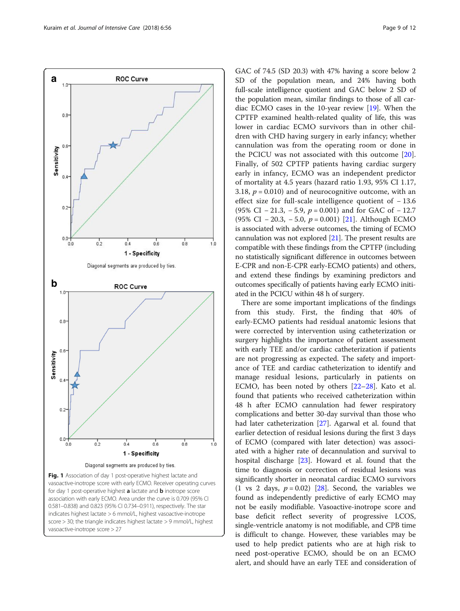<span id="page-8-0"></span>

GAC of 74.5 (SD 20.3) with 47% having a score below 2 SD of the population mean, and 24% having both full-scale intelligence quotient and GAC below 2 SD of the population mean, similar findings to those of all cardiac ECMO cases in the 10-year review [\[19\]](#page-11-0). When the CPTFP examined health-related quality of life, this was lower in cardiac ECMO survivors than in other children with CHD having surgery in early infancy; whether cannulation was from the operating room or done in the PCICU was not associated with this outcome [\[20](#page-11-0)]. Finally, of 502 CPTFP patients having cardiac surgery early in infancy, ECMO was an independent predictor of mortality at 4.5 years (hazard ratio 1.93, 95% CI 1.17, 3.18,  $p = 0.010$ ) and of neurocognitive outcome, with an effect size for full-scale intelligence quotient of − 13.6 (95% CI − 21.3, − 5.9, p = 0.001) and for GAC of − 12.7 (95% CI – 20.3, – 5.0,  $p = 0.001$ ) [\[21](#page-11-0)]. Although ECMO is associated with adverse outcomes, the timing of ECMO cannulation was not explored [\[21\]](#page-11-0). The present results are compatible with these findings from the CPTFP (including no statistically significant difference in outcomes between E-CPR and non-E-CPR early-ECMO patients) and others, and extend these findings by examining predictors and outcomes specifically of patients having early ECMO initiated in the PCICU within 48 h of surgery.

There are some important implications of the findings from this study. First, the finding that 40% of early-ECMO patients had residual anatomic lesions that were corrected by intervention using catheterization or surgery highlights the importance of patient assessment with early TEE and/or cardiac catheterization if patients are not progressing as expected. The safety and importance of TEE and cardiac catheterization to identify and manage residual lesions, particularly in patients on ECMO, has been noted by others [[22](#page-11-0)–[28](#page-11-0)]. Kato et al. found that patients who received catheterization within 48 h after ECMO cannulation had fewer respiratory complications and better 30-day survival than those who had later catheterization [\[27](#page-11-0)]. Agarwal et al. found that earlier detection of residual lesions during the first 3 days of ECMO (compared with later detection) was associated with a higher rate of decannulation and survival to hospital discharge [\[23\]](#page-11-0). Howard et al. found that the time to diagnosis or correction of residual lesions was significantly shorter in neonatal cardiac ECMO survivors (1 vs 2 days,  $p = 0.02$ ) [[28\]](#page-11-0). Second, the variables we found as independently predictive of early ECMO may not be easily modifiable. Vasoactive-inotrope score and base deficit reflect severity of progressive LCOS, single-ventricle anatomy is not modifiable, and CPB time is difficult to change. However, these variables may be used to help predict patients who are at high risk to need post-operative ECMO, should be on an ECMO alert, and should have an early TEE and consideration of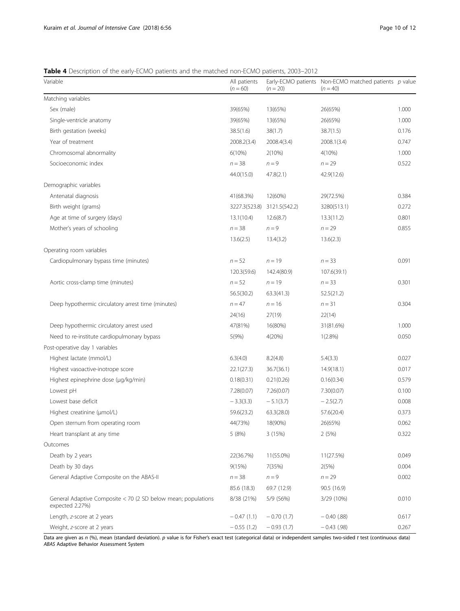## <span id="page-9-0"></span>Table 4 Description of the early-ECMO patients and the matched non-ECMO patients, 2003-2012

| Variable                                                                         | All patients<br>$(n = 60)$ | $(n = 20)$                  | Early-ECMO patients Non-ECMO matched patients $p$ value<br>$(n = 40)$ |       |
|----------------------------------------------------------------------------------|----------------------------|-----------------------------|-----------------------------------------------------------------------|-------|
| Matching variables                                                               |                            |                             |                                                                       |       |
| Sex (male)                                                                       | 39(65%)                    | 13(65%)                     | 26(65%)                                                               | 1.000 |
| Single-ventricle anatomy                                                         | 39(65%)                    | 13(65%)                     | 26(65%)                                                               | 1.000 |
| Birth gestation (weeks)                                                          | 38.5(1.6)                  | 38(1.7)                     | 38.7(1.5)                                                             | 0.176 |
| Year of treatment                                                                | 2008.2(3.4)                | 2008.4(3.4)                 | 2008.1(3.4)                                                           | 0.747 |
| Chromosomal abnormality                                                          | 6(10%)                     | 2(10%)                      | 4(10%)                                                                | 1.000 |
| Socioeconomic index                                                              | $n = 38$                   | $n = 9$                     | $n = 29$                                                              | 0.522 |
|                                                                                  | 44.0(15.0)                 | 47.8(2.1)                   | 42.9(12.6)                                                            |       |
| Demographic variables                                                            |                            |                             |                                                                       |       |
| Antenatal diagnosis                                                              | 41(68.3%)                  | 12(60%)                     | 29(72.5%)                                                             | 0.384 |
| Birth weight (grams)                                                             |                            | 3227.3(523.8) 3121.5(542.2) | 3280(513.1)                                                           | 0.272 |
| Age at time of surgery (days)                                                    | 13.1(10.4)                 | 12.6(8.7)                   | 13.3(11.2)                                                            | 0.801 |
| Mother's years of schooling                                                      | $n = 38$                   | $n = 9$                     | $n = 29$                                                              | 0.855 |
|                                                                                  | 13.6(2.5)                  | 13.4(3.2)                   | 13.6(2.3)                                                             |       |
| Operating room variables                                                         |                            |                             |                                                                       |       |
| Cardiopulmonary bypass time (minutes)                                            | $n = 52$                   | $n = 19$                    | $n = 33$                                                              | 0.091 |
|                                                                                  | 120.3(59.6)                | 142.4(80.9)                 | 107.6(39.1)                                                           |       |
| Aortic cross-clamp time (minutes)                                                | $n = 52$                   | $n = 19$                    | $n = 33$                                                              | 0.301 |
|                                                                                  | 56.5(30.2)                 | 63.3(41.3)                  | 52.5(21.2)                                                            |       |
| Deep hypothermic circulatory arrest time (minutes)                               | $n = 47$                   | $n = 16$                    | $n = 31$                                                              | 0.304 |
|                                                                                  | 24(16)                     | 27(19)                      | 22(14)                                                                |       |
| Deep hypothermic circulatory arrest used                                         | 47(81%)                    | 16(80%)                     | 31(81.6%)                                                             | 1.000 |
| Need to re-institute cardiopulmonary bypass                                      | 5(9%)                      | 4(20%)                      | $1(2.8\%)$                                                            | 0.050 |
| Post-operative day 1 variables                                                   |                            |                             |                                                                       |       |
| Highest lactate (mmol/L)                                                         | 6.3(4.0)                   | 8.2(4.8)                    | 5.4(3.3)                                                              | 0.027 |
| Highest vasoactive-inotrope score                                                | 22.1(27.3)                 | 36.7(36.1)                  | 14.9(18.1)                                                            | 0.017 |
| Highest epinephrine dose (µg/kg/min)                                             | 0.18(0.31)                 | 0.21(0.26)                  | 0.16(0.34)                                                            | 0.579 |
| Lowest pH                                                                        | 7.28(0.07)                 | 7.26(0.07)                  | 7.30(0.07)                                                            | 0.100 |
| Lowest base deficit                                                              | $-3.3(3.3)$                | $-5.1(3.7)$                 | $-2.5(2.7)$                                                           | 0.008 |
| Highest creatinine (µmol/L)                                                      | 59.6(23.2)                 | 63.3(28.0)                  | 57.6(20.4)                                                            | 0.373 |
| Open sternum from operating room                                                 | 44(73%)                    | 18(90%)                     | 26(65%)                                                               | 0.062 |
| Heart transplant at any time                                                     | 5(8%)                      | 3 (15%)                     | 2(5%)                                                                 | 0.322 |
| Outcomes                                                                         |                            |                             |                                                                       |       |
| Death by 2 years                                                                 | 22(36.7%)                  | 11(55.0%)                   | 11(27.5%)                                                             | 0.049 |
| Death by 30 days                                                                 | 9(15%)                     | 7(35%)                      | 2(5%)                                                                 | 0.004 |
| General Adaptive Composite on the ABAS-II                                        | $n = 38$                   | $n = 9$                     | $n = 29$                                                              | 0.002 |
|                                                                                  | 85.6 (18.3)                | 69.7 (12.9)                 | 90.5 (16.9)                                                           |       |
| General Adaptive Composite < 70 (2 SD below mean; populations<br>expected 2.27%) | 8/38 (21%)                 | 5/9 (56%)                   | 3/29 (10%)                                                            | 0.010 |
| Length, z-score at 2 years                                                       | $-0.47(1.1)$               | $-0.70(1.7)$                | $-0.40$ (.88)                                                         | 0.617 |
| Weight, z-score at 2 years                                                       | $-0.55(1.2)$               | $-0.93(1.7)$                | $-0.43$ (.98)                                                         | 0.267 |

Data are given as n (%), mean (standard deviation). p value is for Fisher's exact test (categorical data) or independent samples two-sided t test (continuous data) ABAS Adaptive Behavior Assessment System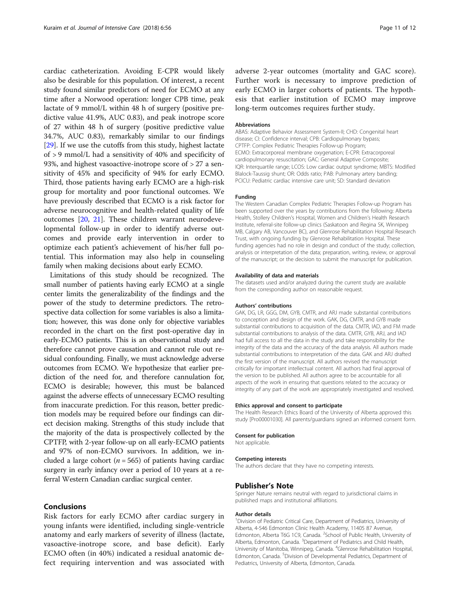cardiac catheterization. Avoiding E-CPR would likely also be desirable for this population. Of interest, a recent study found similar predictors of need for ECMO at any time after a Norwood operation: longer CPB time, peak lactate of 9 mmol/L within 48 h of surgery (positive predictive value 41.9%, AUC 0.83), and peak inotrope score of 27 within 48 h of surgery (positive predictive value 34.7%, AUC 0.83), remarkably similar to our findings [[29\]](#page-11-0). If we use the cutoffs from this study, highest lactate of > 9 mmol/L had a sensitivity of 40% and specificity of 93%, and highest vasoactive-inotrope score of > 27 a sensitivity of 45% and specificity of 94% for early ECMO. Third, those patients having early ECMO are a high-risk group for mortality and poor functional outcomes. We have previously described that ECMO is a risk factor for adverse neurocognitive and health-related quality of life outcomes [\[20,](#page-11-0) [21\]](#page-11-0). These children warrant neurodevelopmental follow-up in order to identify adverse outcomes and provide early intervention in order to optimize each patient's achievement of his/her full potential. This information may also help in counseling family when making decisions about early ECMO.

Limitations of this study should be recognized. The small number of patients having early ECMO at a single center limits the generalizability of the findings and the power of the study to determine predictors. The retrospective data collection for some variables is also a limitation; however, this was done only for objective variables recorded in the chart on the first post-operative day in early-ECMO patients. This is an observational study and therefore cannot prove causation and cannot rule out residual confounding. Finally, we must acknowledge adverse outcomes from ECMO. We hypothesize that earlier prediction of the need for, and therefore cannulation for, ECMO is desirable; however, this must be balanced against the adverse effects of unnecessary ECMO resulting from inaccurate prediction. For this reason, better prediction models may be required before our findings can direct decision making. Strengths of this study include that the majority of the data is prospectively collected by the CPTFP, with 2-year follow-up on all early-ECMO patients and 97% of non-ECMO survivors. In addition, we included a large cohort ( $n = 565$ ) of patients having cardiac surgery in early infancy over a period of 10 years at a referral Western Canadian cardiac surgical center.

## Conclusions

Risk factors for early ECMO after cardiac surgery in young infants were identified, including single-ventricle anatomy and early markers of severity of illness (lactate, vasoactive-inotrope score, and base deficit). Early ECMO often (in 40%) indicated a residual anatomic defect requiring intervention and was associated with

adverse 2-year outcomes (mortality and GAC score). Further work is necessary to improve prediction of early ECMO in larger cohorts of patients. The hypothesis that earlier institution of ECMO may improve long-term outcomes requires further study.

#### **Abbreviations**

ABAS: Adaptive Behavior Assessment System-II; CHD: Congenital heart disease; CI: Confidence interval; CPB: Cardiopulmonary bypass; CPTFP: Complex Pediatric Therapies Follow-up Program; ECMO: Extracorporeal membrane oxygenation; E-CPR: Extracorporeal cardiopulmonary resuscitation; GAC: General Adaptive Composite; IQR: Interquartile range; LCOS: Low cardiac output syndrome; MBTS: Modified Blalock-Taussig shunt; OR: Odds ratio; PAB: Pulmonary artery banding; PCICU: Pediatric cardiac intensive care unit; SD: Standard deviation

## Funding

The Western Canadian Complex Pediatric Therapies Follow-up Program has been supported over the years by contributions from the following: Alberta Health, Stollery Children's Hospital, Women and Children's Health Research Institute, referral-site follow-up clinics (Saskatoon and Regina SK, Winnipeg MB, Calgary AB, Vancouver BC), and Glenrose Rehabilitation Hospital Research Trust, with ongoing funding by Glenrose Rehabilitation Hospital. These funding agencies had no role in design and conduct of the study; collection, analysis or interpretation of the data; preparation, writing, review, or approval of the manuscript; or the decision to submit the manuscript for publication.

#### Availability of data and materials

The datasets used and/or analyzed during the current study are available from the corresponding author on reasonable request.

#### Authors' contributions

GAK, DG, LR, GGG, DM, GYB, CMTR, and ARJ made substantial contributions to conception and design of the work. GAK, DG, CMTR, and GYB made substantial contributions to acquisition of the data. CMTR, IAD, and FM made substantial contributions to analysis of the data. CMTR, GYB, ARJ, and IAD had full access to all the data in the study and take responsibility for the integrity of the data and the accuracy of the data analysis. All authors made substantial contributions to interpretation of the data. GAK and ARJ drafted the first version of the manuscript. All authors revised the manuscript critically for important intellectual content. All authors had final approval of the version to be published. All authors agree to be accountable for all aspects of the work in ensuring that questions related to the accuracy or integrity of any part of the work are appropriately investigated and resolved.

#### Ethics approval and consent to participate

The Health Research Ethics Board of the University of Alberta approved this study [Pro00001030]. All parents/guardians signed an informed consent form.

#### Consent for publication

Not applicable.

#### Competing interests

The authors declare that they have no competing interests.

#### Publisher's Note

Springer Nature remains neutral with regard to jurisdictional claims in published maps and institutional affiliations.

#### Author details

<sup>1</sup> Division of Pediatric Critical Care, Department of Pediatrics, University of Alberta, 4-546 Edmonton Clinic Health Academy, 11405 87 Avenue, Edmonton, Alberta T6G 1C9, Canada. <sup>2</sup>School of Public Health, University of Alberta, Edmonton, Canada. <sup>3</sup>Department of Pediatrics and Child Health University of Manitoba, Winnipeg, Canada. <sup>4</sup>Glenrose Rehabilitation Hospital Edmonton, Canada. <sup>5</sup> Division of Developmental Pediatrics, Department of Pediatrics, University of Alberta, Edmonton, Canada.